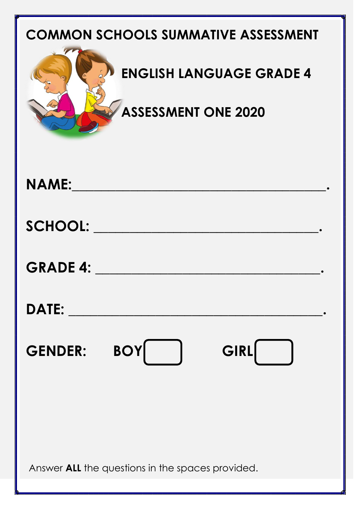| <b>COMMON SCHOOLS SUMMATIVE ASSESSMENT</b><br><b>ENGLISH LANGUAGE GRADE 4</b><br><b>ASSESSMENT ONE 2020</b> |
|-------------------------------------------------------------------------------------------------------------|
| <b>NAME:</b>                                                                                                |
| <b>SCHOOL:</b>                                                                                              |
| <b>GRADE 4:</b>                                                                                             |
| <b>DATE:</b>                                                                                                |
| <b>BOY</b><br>GIRL<br><b>GENDER:</b>                                                                        |
|                                                                                                             |
| Answer <b>ALL</b> the questions in the spaces provided.                                                     |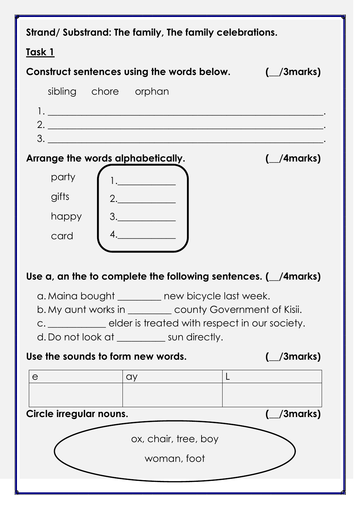| Strand/Substrand: The family, The family celebrations.                                                                                                                                                                            |                                 |  |  |  |
|-----------------------------------------------------------------------------------------------------------------------------------------------------------------------------------------------------------------------------------|---------------------------------|--|--|--|
| Task 1                                                                                                                                                                                                                            |                                 |  |  |  |
| Construct sentences using the words below.                                                                                                                                                                                        | $\left(\frac{\ }{\ }$ /3 marks) |  |  |  |
| sibling chore orphan                                                                                                                                                                                                              |                                 |  |  |  |
| $\mathbf{1.}$ . The contract of the contract of the contract of the contract of the contract of the contract of the contract of the contract of the contract of the contract of the contract of the contract of the contract of t |                                 |  |  |  |
| 2.                                                                                                                                                                                                                                |                                 |  |  |  |
| 3.                                                                                                                                                                                                                                |                                 |  |  |  |
| Arrange the words alphabetically.                                                                                                                                                                                                 | $($ /4 marks)                   |  |  |  |
| party                                                                                                                                                                                                                             |                                 |  |  |  |
| gifts<br>2.                                                                                                                                                                                                                       |                                 |  |  |  |
| happy                                                                                                                                                                                                                             |                                 |  |  |  |
| card                                                                                                                                                                                                                              |                                 |  |  |  |
|                                                                                                                                                                                                                                   |                                 |  |  |  |
|                                                                                                                                                                                                                                   |                                 |  |  |  |
| Use $a$ , an the to complete the following sentences. ( $\angle$ /4marks)                                                                                                                                                         |                                 |  |  |  |
| a. Maina bought ________ new bicycle last week.                                                                                                                                                                                   |                                 |  |  |  |
| b. My aunt works in __________ county Government of Kisii.                                                                                                                                                                        |                                 |  |  |  |
| c. ______________ elder is treated with respect in our society.<br>d. Do not look at ___________ sun directly.                                                                                                                    |                                 |  |  |  |
|                                                                                                                                                                                                                                   |                                 |  |  |  |
| Use the sounds to form new words.                                                                                                                                                                                                 | $\left(\frac{\ }{\ }$ /3 marks) |  |  |  |
| e<br>ay                                                                                                                                                                                                                           | L                               |  |  |  |
|                                                                                                                                                                                                                                   |                                 |  |  |  |
| Circle irregular nouns.                                                                                                                                                                                                           | /3marks)                        |  |  |  |
| ox, chair, tree, boy                                                                                                                                                                                                              |                                 |  |  |  |
|                                                                                                                                                                                                                                   |                                 |  |  |  |
| woman, foot                                                                                                                                                                                                                       |                                 |  |  |  |
|                                                                                                                                                                                                                                   |                                 |  |  |  |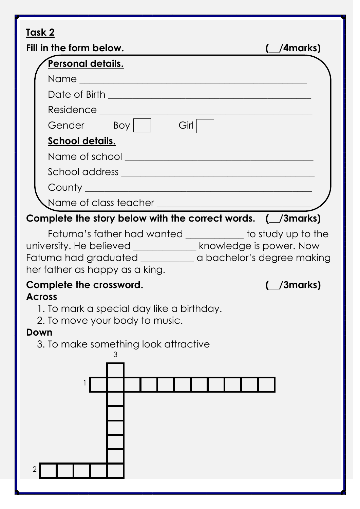## **Task 2**

| <b>IQSK Z</b>                                                                                                                                                                                                                     |                 |
|-----------------------------------------------------------------------------------------------------------------------------------------------------------------------------------------------------------------------------------|-----------------|
| Fill in the form below.                                                                                                                                                                                                           | $(\_\$ /4marks) |
| Personal details.                                                                                                                                                                                                                 |                 |
|                                                                                                                                                                                                                                   |                 |
|                                                                                                                                                                                                                                   |                 |
| Residence Learning and the contract of the contract of the contract of the contract of the contract of the contract of the contract of the contract of the contract of the contract of the contract of the contract of the con    |                 |
| Gender Boy<br>Girl                                                                                                                                                                                                                |                 |
| <u>School details.</u>                                                                                                                                                                                                            |                 |
|                                                                                                                                                                                                                                   |                 |
|                                                                                                                                                                                                                                   |                 |
|                                                                                                                                                                                                                                   |                 |
|                                                                                                                                                                                                                                   |                 |
| Complete the story below with the correct words. $($ \_/3marks)                                                                                                                                                                   |                 |
| Fatuma's father had wanted ___________ to study up to the<br>university. He believed _________________ knowledge is power. Now<br>Fatuma had graduated _____________ a bachelor's degree making<br>her father as happy as a king. |                 |
| Complete the crossword.                                                                                                                                                                                                           | (Smarks)        |
| <b>Across</b><br>1. To mark a special day like a birthday.<br>2. To move your body to music.<br>Down                                                                                                                              |                 |
| 3. To make something look attractive                                                                                                                                                                                              |                 |
| 3<br>$\overline{2}$                                                                                                                                                                                                               |                 |